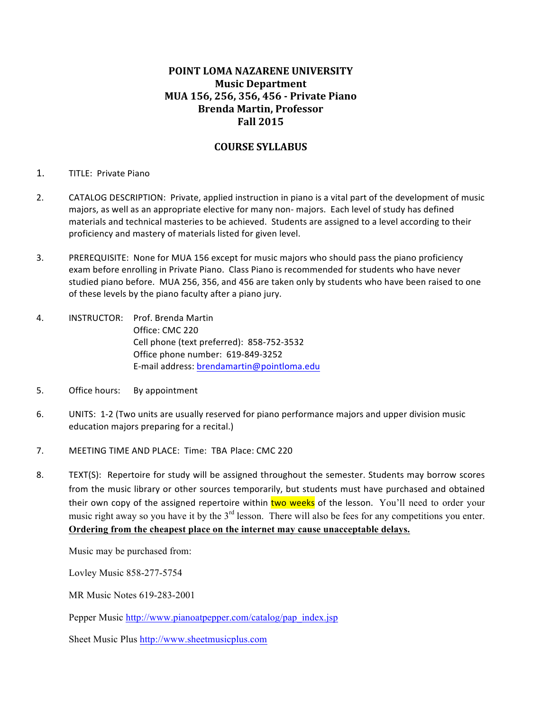# **POINT LOMA NAZARENE UNIVERSITY Music Department MUA 156, 256, 356, 456 - Private Piano Brenda Martin, Professor Fall 2015**

# **COURSE SYLLABUS**

## 1. TITLE: Private Piano

- 2. CATALOG DESCRIPTION: Private, applied instruction in piano is a vital part of the development of music majors, as well as an appropriate elective for many non- majors. Each level of study has defined materials and technical masteries to be achieved. Students are assigned to a level according to their proficiency and mastery of materials listed for given level.
- 3. PREREQUISITE: None for MUA 156 except for music majors who should pass the piano proficiency exam before enrolling in Private Piano. Class Piano is recommended for students who have never studied piano before. MUA 256, 356, and 456 are taken only by students who have been raised to one of these levels by the piano faculty after a piano jury.
- 4. **INSTRUCTOR:** Prof. Brenda Martin Office: CMC 220 Cell phone (text preferred): 858-752-3532 Office phone number: 619-849-3252 E-mail address: brendamartin@pointloma.edu
- 5. Office hours: By appointment
- 6. UNITS: 1-2 (Two units are usually reserved for piano performance majors and upper division music education majors preparing for a recital.)
- 7. MEETING TIME AND PLACE: Time: TBA Place: CMC 220
- 8. TEXT(S): Repertoire for study will be assigned throughout the semester. Students may borrow scores from the music library or other sources temporarily, but students must have purchased and obtained their own copy of the assigned repertoire within two weeks of the lesson. You'll need to order your music right away so you have it by the 3<sup>rd</sup> lesson. There will also be fees for any competitions you enter. **Ordering from the cheapest place on the internet may cause unacceptable delays.**

Music may be purchased from:

Lovley Music 858-277-5754

MR Music Notes 619-283-2001

Pepper Music http://www.pianoatpepper.com/catalog/pap\_index.jsp

Sheet Music Plus http://www.sheetmusicplus.com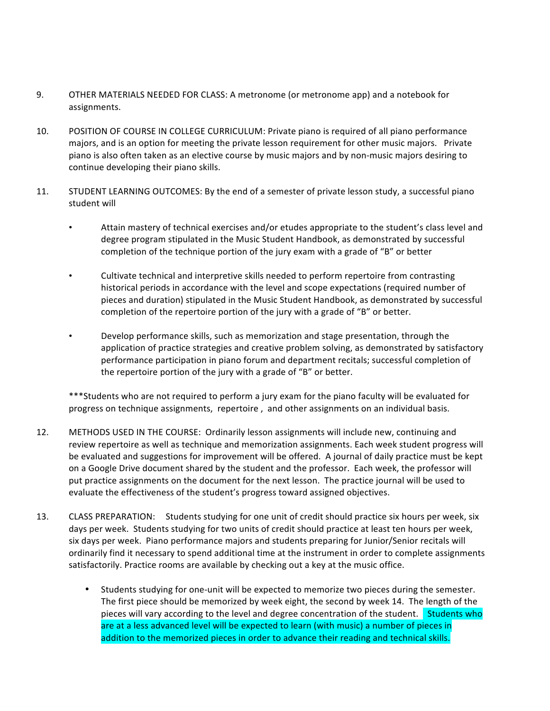- 9. OTHER MATERIALS NEEDED FOR CLASS: A metronome (or metronome app) and a notebook for assignments.
- 10. POSITION OF COURSE IN COLLEGE CURRICULUM: Private piano is required of all piano performance majors, and is an option for meeting the private lesson requirement for other music majors. Private piano is also often taken as an elective course by music majors and by non-music majors desiring to continue developing their piano skills.
- 11. STUDENT LEARNING OUTCOMES: By the end of a semester of private lesson study, a successful piano student will
	- Attain mastery of technical exercises and/or etudes appropriate to the student's class level and degree program stipulated in the Music Student Handbook, as demonstrated by successful completion of the technique portion of the jury exam with a grade of "B" or better
	- Cultivate technical and interpretive skills needed to perform repertoire from contrasting historical periods in accordance with the level and scope expectations (required number of pieces and duration) stipulated in the Music Student Handbook, as demonstrated by successful completion of the repertoire portion of the jury with a grade of "B" or better.
	- Develop performance skills, such as memorization and stage presentation, through the application of practice strategies and creative problem solving, as demonstrated by satisfactory performance participation in piano forum and department recitals; successful completion of the repertoire portion of the jury with a grade of "B" or better.

\*\*\*Students who are not required to perform a jury exam for the piano faculty will be evaluated for progress on technique assignments, repertoire, and other assignments on an individual basis.

- 12. METHODS USED IN THE COURSE: Ordinarily lesson assignments will include new, continuing and review repertoire as well as technique and memorization assignments. Each week student progress will be evaluated and suggestions for improvement will be offered. A journal of daily practice must be kept on a Google Drive document shared by the student and the professor. Each week, the professor will put practice assignments on the document for the next lesson. The practice journal will be used to evaluate the effectiveness of the student's progress toward assigned objectives.
- 13. CLASS PREPARATION: Students studying for one unit of credit should practice six hours per week, six days per week. Students studying for two units of credit should practice at least ten hours per week, six days per week. Piano performance majors and students preparing for Junior/Senior recitals will ordinarily find it necessary to spend additional time at the instrument in order to complete assignments satisfactorily. Practice rooms are available by checking out a key at the music office.
	- Students studying for one-unit will be expected to memorize two pieces during the semester. The first piece should be memorized by week eight, the second by week 14. The length of the pieces will vary according to the level and degree concentration of the student. **Students who** are at a less advanced level will be expected to learn (with music) a number of pieces in addition to the memorized pieces in order to advance their reading and technical skills.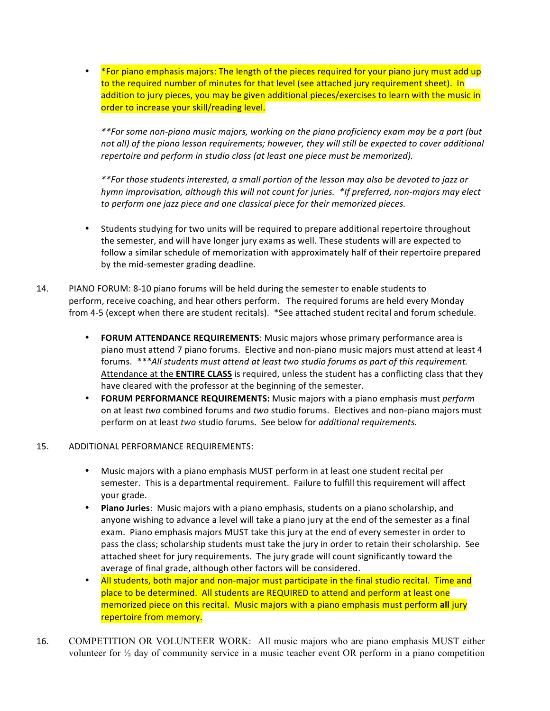\*For piano emphasis majors: The length of the pieces required for your piano jury must add up to the required number of minutes for that level (see attached jury requirement sheet). In addition to jury pieces, you may be given additional pieces/exercises to learn with the music in order to increase your skill/reading level.

*\*\*For some non-piano music majors, working on the piano proficiency exam may be a part (but*  not all) of the piano lesson requirements; however, they will still be expected to cover additional *repertoire and perform in studio class (at least one piece must be memorized).* 

*\*\*For those students interested, a small portion of the lesson may also be devoted to jazz or hymn improvisation, although this will not count for juries.* \*If preferred, non-majors may elect *to perform one jazz piece and one classical piece for their memorized pieces.* 

- Students studying for two units will be required to prepare additional repertoire throughout the semester, and will have longer jury exams as well. These students will are expected to follow a similar schedule of memorization with approximately half of their repertoire prepared by the mid-semester grading deadline.
- 14. PIANO FORUM: 8-10 piano forums will be held during the semester to enable students to perform, receive coaching, and hear others perform. The required forums are held every Monday from 4-5 (except when there are student recitals). \*See attached student recital and forum schedule.
	- **FORUM ATTENDANCE REQUIREMENTS:** Music majors whose primary performance area is piano must attend 7 piano forums. Elective and non-piano music majors must attend at least 4 forums. \*\*\*All students must attend at least two studio forums as part of this requirement. Attendance at the **ENTIRE CLASS** is required, unless the student has a conflicting class that they have cleared with the professor at the beginning of the semester.
	- **FORUM PERFORMANCE REQUIREMENTS:** Music majors with a piano emphasis must *perform* on at least *two* combined forums and *two* studio forums. Electives and non-piano majors must perform on at least *two* studio forums. See below for *additional requirements.*

# 15. ADDITIONAL PERFORMANCE REQUIREMENTS:

- Music majors with a piano emphasis MUST perform in at least one student recital per semester. This is a departmental requirement. Failure to fulfill this requirement will affect your grade.
- Piano Juries: Music majors with a piano emphasis, students on a piano scholarship, and anyone wishing to advance a level will take a piano jury at the end of the semester as a final exam. Piano emphasis majors MUST take this jury at the end of every semester in order to pass the class; scholarship students must take the jury in order to retain their scholarship. See attached sheet for jury requirements. The jury grade will count significantly toward the average of final grade, although other factors will be considered.
- All students, both major and non-major must participate in the final studio recital. Time and place to be determined. All students are REQUIRED to attend and perform at least one memorized piece on this recital. Music majors with a piano emphasis must perform all jury repertoire from memory.
- 16. COMPETITION OR VOLUNTEER WORK: All music majors who are piano emphasis MUST either volunteer for ½ day of community service in a music teacher event OR perform in a piano competition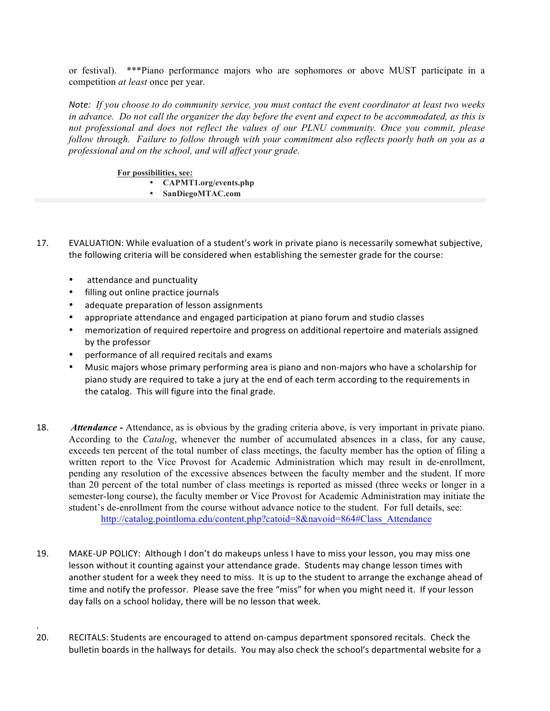or festival). \*\*\*Piano performance majors who are sophomores or above MUST participate in a competition *at least* once per year.

*Note: If you choose to do community service, you must contact the event coordinator at least two weeks in advance. Do not call the organizer the day before the event and expect to be accommodated, as this is not professional and does not reflect the values of our PLNU community. Once you commit, please follow through. Failure to follow through with your commitment also reflects poorly both on you as a professional and on the school, and will affect your grade.* 

**For possibilities, see:**

- **CAPMT1.org/events.php**
- **SanDiegoMTAC.com**
- 17. EVALUATION: While evaluation of a student's work in private piano is necessarily somewhat subjective, the following criteria will be considered when establishing the semester grade for the course:
	- attendance and punctuality

.

- filling out online practice journals
- adequate preparation of lesson assignments
- appropriate attendance and engaged participation at piano forum and studio classes
- memorization of required repertoire and progress on additional repertoire and materials assigned by the professor
- performance of all required recitals and exams
- Music majors whose primary performing area is piano and non-majors who have a scholarship for piano study are required to take a jury at the end of each term according to the requirements in the catalog. This will figure into the final grade.
- 18. *Attendance* **-** Attendance, as is obvious by the grading criteria above, is very important in private piano. According to the *Catalog*, whenever the number of accumulated absences in a class, for any cause, exceeds ten percent of the total number of class meetings, the faculty member has the option of filing a written report to the Vice Provost for Academic Administration which may result in de-enrollment, pending any resolution of the excessive absences between the faculty member and the student. If more than 20 percent of the total number of class meetings is reported as missed (three weeks or longer in a semester-long course), the faculty member or Vice Provost for Academic Administration may initiate the student's de-enrollment from the course without advance notice to the student. For full details, see: http://catalog.pointloma.edu/content.php?catoid=8&navoid=864#Class\_Attendance
- 19. MAKE-UP POLICY: Although I don't do makeups unless I have to miss your lesson, you may miss one lesson without it counting against your attendance grade. Students may change lesson times with another student for a week they need to miss. It is up to the student to arrange the exchange ahead of time and notify the professor. Please save the free "miss" for when you might need it. If your lesson day falls on a school holiday, there will be no lesson that week.
- 20. RECITALS: Students are encouraged to attend on-campus department sponsored recitals. Check the bulletin boards in the hallways for details. You may also check the school's departmental website for a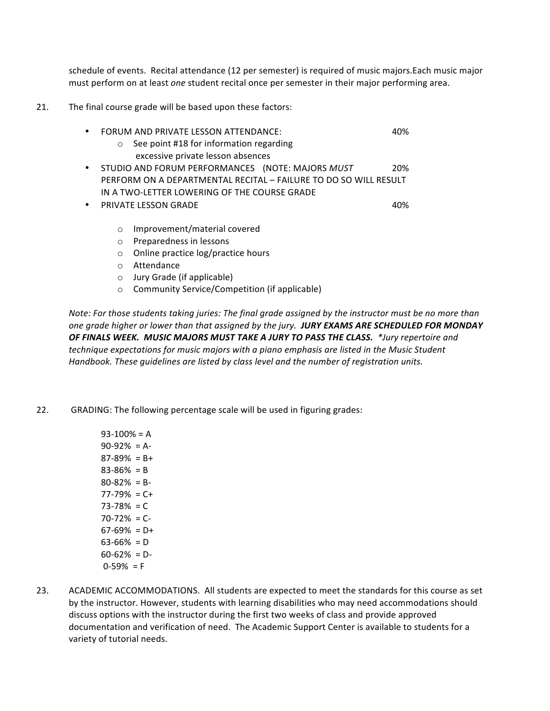schedule of events. Recital attendance (12 per semester) is required of music majors.Each music major must perform on at least *one* student recital once per semester in their major performing area.

21. The final course grade will be based upon these factors:

|           | FORUM AND PRIVATE LESSON ATTENDANCE:                             | 40% |
|-----------|------------------------------------------------------------------|-----|
|           | See point #18 for information regarding<br>$\circ$               |     |
|           | excessive private lesson absences                                |     |
|           | STUDIO AND FORUM PERFORMANCES (NOTE: MAJORS MUST                 | 20% |
|           | PERFORM ON A DEPARTMENTAL RECITAL - FAILURE TO DO SO WILL RESULT |     |
|           | IN A TWO-LETTER LOWERING OF THE COURSE GRADE                     |     |
| $\bullet$ | <b>PRIVATE LESSON GRADE</b>                                      | 40% |
|           |                                                                  |     |
|           | Improvement/material covered<br>$\Omega$                         |     |
|           | Preparedness in lessons<br>$\circ$                               |     |
|           | Online practice log/practice hours<br>$\circ$                    |     |
|           | Attendance<br>∩                                                  |     |
|           |                                                                  |     |

- $\circ$  Jury Grade (if applicable)
- $\circ$  Community Service/Competition (if applicable)

*Note: For those students taking juries: The final grade assigned by the instructor must be no more than one grade higher or lower than that assigned by the jury. JURY EXAMS ARE SCHEDULED FOR MONDAY* OF FINALS WEEK. MUSIC MAJORS MUST TAKE A JURY TO PASS THE CLASS. *\*Jury repertoire and* technique expectations for music majors with a piano emphasis are listed in the Music Student Handbook. These quidelines are listed by class level and the number of registration units.

- 22. GRADING: The following percentage scale will be used in figuring grades:
	- $93-100% = A$  $90-92\% = A$ - $87-89\% = B+$  $83-86% = B$  $80-82% = B$ - $77-79\% = C +$  $73-78% = C$  $70-72\% = C$ - $67-69\% = D+$  $63-66% = D$  $60-62\% = D$  $0-59\% = F$
- 23. ACADEMIC ACCOMMODATIONS. All students are expected to meet the standards for this course as set by the instructor. However, students with learning disabilities who may need accommodations should discuss options with the instructor during the first two weeks of class and provide approved documentation and verification of need. The Academic Support Center is available to students for a variety of tutorial needs.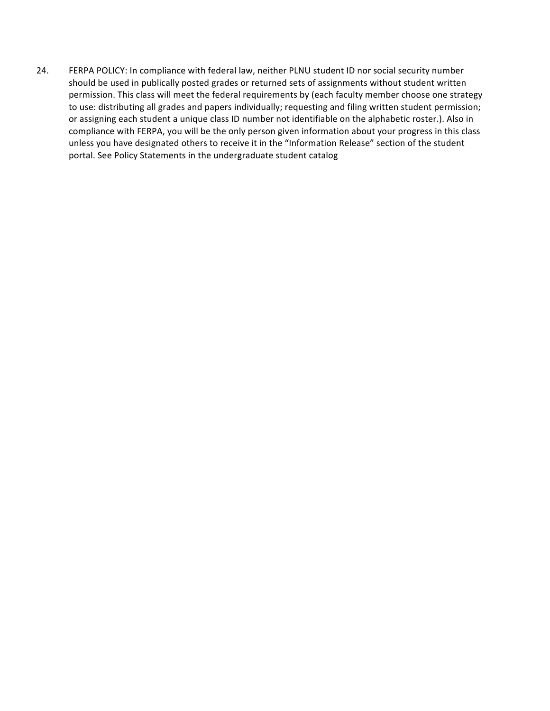24. FERPA POLICY: In compliance with federal law, neither PLNU student ID nor social security number should be used in publically posted grades or returned sets of assignments without student written permission. This class will meet the federal requirements by (each faculty member choose one strategy to use: distributing all grades and papers individually; requesting and filing written student permission; or assigning each student a unique class ID number not identifiable on the alphabetic roster.). Also in compliance with FERPA, you will be the only person given information about your progress in this class unless you have designated others to receive it in the "Information Release" section of the student portal. See Policy Statements in the undergraduate student catalog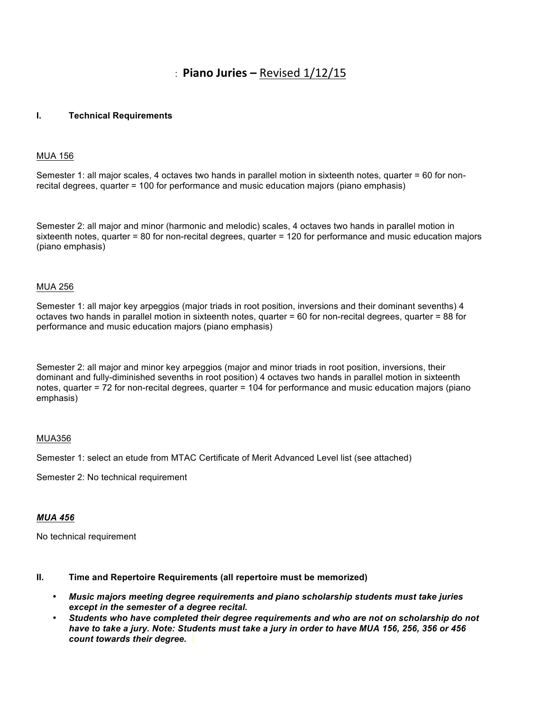# $\therefore$  **Piano Juries** – Revised  $1/12/15$

#### **I. Technical Requirements**

#### MUA 156

Semester 1: all major scales, 4 octaves two hands in parallel motion in sixteenth notes, quarter = 60 for nonrecital degrees, quarter = 100 for performance and music education majors (piano emphasis)

Semester 2: all major and minor (harmonic and melodic) scales, 4 octaves two hands in parallel motion in sixteenth notes, quarter = 80 for non-recital degrees, quarter = 120 for performance and music education majors (piano emphasis)

#### MUA 256

Semester 1: all major key arpeggios (major triads in root position, inversions and their dominant sevenths) 4 octaves two hands in parallel motion in sixteenth notes, quarter = 60 for non-recital degrees, quarter = 88 for performance and music education majors (piano emphasis)

Semester 2: all major and minor key arpeggios (major and minor triads in root position, inversions, their dominant and fully-diminished sevenths in root position) 4 octaves two hands in parallel motion in sixteenth notes, quarter = 72 for non-recital degrees, quarter = 104 for performance and music education majors (piano emphasis)

#### MUA356

Semester 1: select an etude from MTAC Certificate of Merit Advanced Level list (see attached)

Semester 2: No technical requirement

#### *MUA 456*

No technical requirement

## **II. Time and Repertoire Requirements (all repertoire must be memorized)**

- *Music majors meeting degree requirements and piano scholarship students must take juries except in the semester of a degree recital.*
- *Students who have completed their degree requirements and who are not on scholarship do not have to take a jury. Note: Students must take a jury in order to have MUA 156, 256, 356 or 456 count towards their degree.*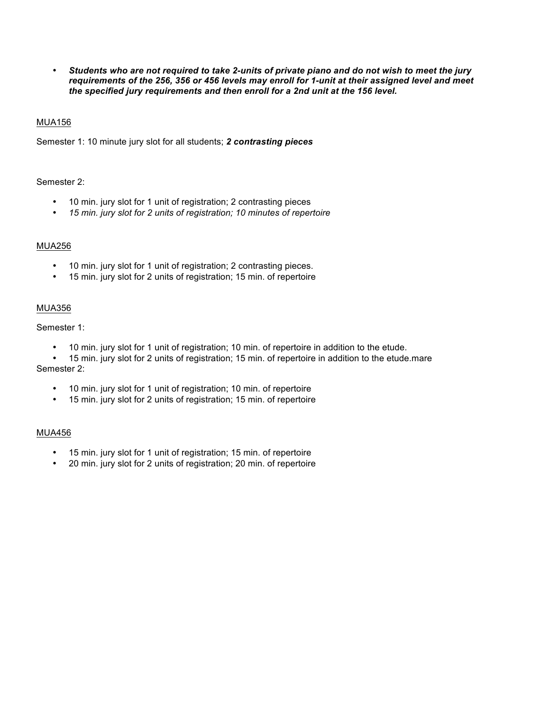• *Students who are not required to take 2-units of private piano and do not wish to meet the jury requirements of the 256, 356 or 456 levels may enroll for 1-unit at their assigned level and meet the specified jury requirements and then enroll for a 2nd unit at the 156 level.*

### MUA156

Semester 1: 10 minute jury slot for all students; *2 contrasting pieces*

### Semester 2:

- 10 min. jury slot for 1 unit of registration; 2 contrasting pieces
- *15 min. jury slot for 2 units of registration; 10 minutes of repertoire*

#### MUA256

- 10 min. jury slot for 1 unit of registration; 2 contrasting pieces.
- 15 min. jury slot for 2 units of registration; 15 min. of repertoire

#### MUA356

## Semester 1:

- 10 min. jury slot for 1 unit of registration; 10 min. of repertoire in addition to the etude.
- 15 min. jury slot for 2 units of registration; 15 min. of repertoire in addition to the etude.mare Semester 2:
	- 10 min. jury slot for 1 unit of registration; 10 min. of repertoire
	- 15 min. jury slot for 2 units of registration; 15 min. of repertoire

### MUA456

- 15 min. jury slot for 1 unit of registration; 15 min. of repertoire
- 20 min. jury slot for 2 units of registration; 20 min. of repertoire